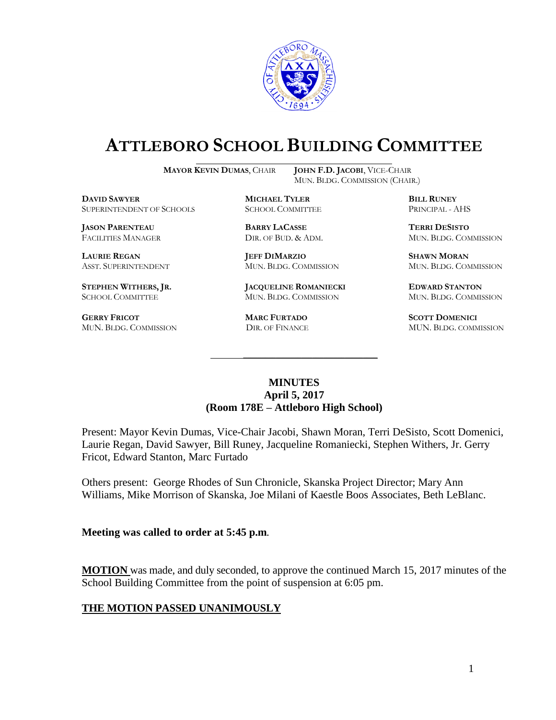

# **ATTLEBORO SCHOOL BUILDING COMMITTEE**

**MAYOR KEVIN DUMAS**, CHAIR **JOHN F.D. JACOBI**, VICE-CHAIR

MUN. BLDG. COMMISSION (CHAIR.)

**DAVID SAWYER MICHAEL TYLER BILL RUNEY** SUPERINTENDENT OF SCHOOLS SCHOOL COMMITTEE PRINCIPAL - AHS

**JASON PARENTEAU BARRY LACASSE TERRI DESISTO**

**GERRY FRICOT MARC FURTADO SCOTT DOMENICI** 

**LAURIE REGAN JEFF DIMARZIO SHAWN MORAN**

**STEPHEN WITHERS, JR. JACQUELINE ROMANIECKI EDWARD STANTON** SCHOOL COMMITTEE MUN. BLDG. COMMISSION MUN. BLDG. COMMISSION

FACILITIES MANAGER DIR. OF BUD. & ADM. MUN. BLDG. COMMISSION

ASST. SUPERINTENDENT MUN. BLDG. COMMISSION MUN. BLDG. COMMISSION

MUN. BLDG. COMMISSION DIR. OF FINANCE MUN. BLDG. COMMISSION

### **MINUTES April 5, 2017 (Room 178E – Attleboro High School)**

\_\_\_\_\_\_\_\_\_\_\_\_\_\_\_\_\_\_\_\_\_\_\_\_\_\_\_\_\_\_\_\_\_\_\_\_\_

Present: Mayor Kevin Dumas, Vice-Chair Jacobi, Shawn Moran, Terri DeSisto, Scott Domenici, Laurie Regan, David Sawyer, Bill Runey, Jacqueline Romaniecki, Stephen Withers, Jr. Gerry Fricot, Edward Stanton, Marc Furtado

Others present: George Rhodes of Sun Chronicle, Skanska Project Director; Mary Ann Williams, Mike Morrison of Skanska, Joe Milani of Kaestle Boos Associates, Beth LeBlanc.

#### **Meeting was called to order at 5:45 p.m**.

**MOTION** was made, and duly seconded, to approve the continued March 15, 2017 minutes of the School Building Committee from the point of suspension at 6:05 pm.

# **THE MOTION PASSED UNANIMOUSLY**